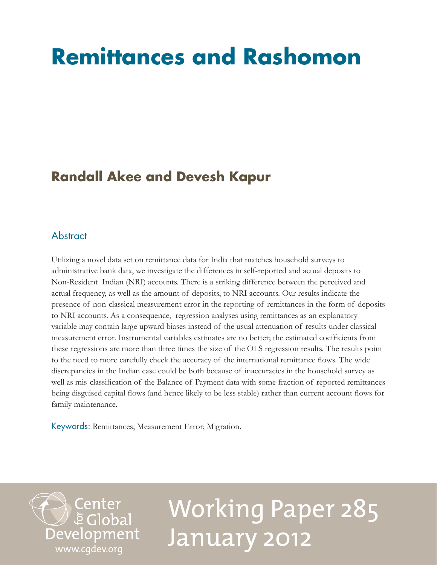# **Remittances and Rashomon**

### **Randall Akee and Devesh Kapur**

#### **Abstract**

Utilizing a novel data set on remittance data for India that matches household surveys to administrative bank data, we investigate the differences in self-reported and actual deposits to Non-Resident Indian (NRI) accounts. There is a striking difference between the perceived and actual frequency, as well as the amount of deposits, to NRI accounts. Our results indicate the presence of non-classical measurement error in the reporting of remittances in the form of deposits to NRI accounts. As a consequence, regression analyses using remittances as an explanatory variable may contain large upward biases instead of the usual attenuation of results under classical measurement error. Instrumental variables estimates are no better; the estimated coefficients from these regressions are more than three times the size of the OLS regression results. The results point to the need to more carefully check the accuracy of the international remittance flows. The wide discrepancies in the Indian case could be both because of inaccuracies in the household survey as well as mis-classification of the Balance of Payment data with some fraction of reported remittances being disguised capital flows (and hence likely to be less stable) rather than current account flows for family maintenance.

Keywords: Remittances; Measurement Error; Migration.

Center<br>Development<br>Development [www.cgdev.org](http://www.cgdev.org)

# Working Paper 285 January 2012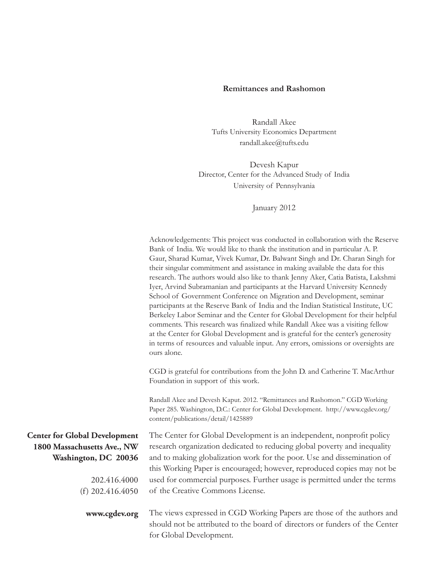#### **Remittances and Rashomon**

Randall Akee Tufts University Economics Department [randall.akee@tufts.edu](mailto:randall.akee@tufts.edu)

Devesh Kapur Director, Center for the Advanced Study of India University of Pennsylvania

January 2012

Acknowledgements: This project was conducted in collaboration with the Reserve Bank of India. We would like to thank the institution and in particular A. P. Gaur, Sharad Kumar, Vivek Kumar, Dr. Balwant Singh and Dr. Charan Singh for their singular commitment and assistance in making available the data for this research. The authors would also like to thank Jenny Aker, Catia Batista, Lakshmi Iyer, Arvind Subramanian and participants at the Harvard University Kennedy School of Government Conference on Migration and Development, seminar participants at the Reserve Bank of India and the Indian Statistical Institute, UC Berkeley Labor Seminar and the Center for Global Development for their helpful comments. This research was finalized while Randall Akee was a visiting fellow at the Center for Global Development and is grateful for the center's generosity in terms of resources and valuable input. Any errors, omissions or oversights are ours alone.

CGD is grateful for contributions from the John D. and Catherine T. MacArthur Foundation in support of this work.

Randall Akee and Devesh Kaput. 2012. "Remittances and Rashomon." CGD Working Paper 285. Washington, D.C.: Center for Global Development. [http://www.cgdev.org/](http://www.cgdev.org/content/publications/detail/1425889) [content/publications/detail/1425889](http://www.cgdev.org/content/publications/detail/1425889)

**Center for Global Development 1800 Massachusetts Ave., NW Washington, DC 20036**

> 202.416.4000 (f) 202.416.4050

**[www.cgdev.org](http://www.cgdev.org)**

The Center for Global Development is an independent, nonprofit policy research organization dedicated to reducing global poverty and inequality and to making globalization work for the poor. Use and dissemination of this Working Paper is encouraged; however, reproduced copies may not be used for commercial purposes. Further usage is permitted under the terms of the Creative Commons License.

The views expressed in CGD Working Papers are those of the authors and should not be attributed to the board of directors or funders of the Center for Global Development.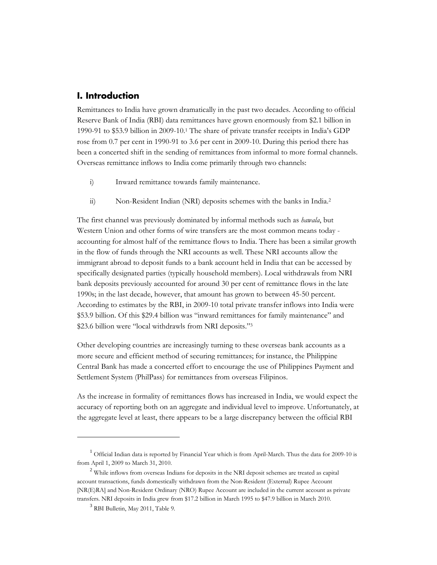#### **I. Introduction**

Remittances to India have grown dramatically in the past two decades. According to official Reserve Bank of India (RBI) data remittances have grown enormously from \$2.1 billion in 1990-91 to \$53.9 billion in 2009-10.1 The share of private transfer receipts in India's GDP rose from 0.7 per cent in 1990-91 to 3.6 per cent in 2009-10. During this period there has been a concerted shift in the sending of remittances from informal to more formal channels. Overseas remittance inflows to India come primarily through two channels:

- i) Inward remittance towards family maintenance.
- ii) Non-Resident Indian (NRI) deposits schemes with the banks in India.2

The first channel was previously dominated by informal methods such as *hawala*, but Western Union and other forms of wire transfers are the most common means today accounting for almost half of the remittance flows to India. There has been a similar growth in the flow of funds through the NRI accounts as well. These NRI accounts allow the immigrant abroad to deposit funds to a bank account held in India that can be accessed by specifically designated parties (typically household members). Local withdrawals from NRI bank deposits previously accounted for around 30 per cent of remittance flows in the late 1990s; in the last decade, however, that amount has grown to between 45-50 percent. According to estimates by the RBI, in 2009-10 total private transfer inflows into India were \$53.9 billion. Of this \$29.4 billion was "inward remittances for family maintenance" and \$23.6 billion were "local withdrawls from NRI deposits."<sup>3</sup>

Other developing countries are increasingly turning to these overseas bank accounts as a more secure and efficient method of securing remittances; for instance, the Philippine Central Bank has made a concerted effort to encourage the use of Philippines Payment and Settlement System (PhilPass) for remittances from overseas Filipinos.

As the increase in formality of remittances flows has increased in India, we would expect the accuracy of reporting both on an aggregate and individual level to improve. Unfortunately, at the aggregate level at least, there appears to be a large discrepancy between the official RBI

<u>.</u>

<sup>&</sup>lt;sup>1</sup> Official Indian data is reported by Financial Year which is from April-March. Thus the data for 2009-10 is from April 1, 2009 to March 31, 2010.

 $2$  While inflows from overseas Indians for deposits in the NRI deposit schemes are treated as capital account transactions, funds domestically withdrawn from the Non-Resident (External) Rupee Account [NR(E)RA] and Non-Resident Ordinary (NRO) Rupee Account are included in the current account as private transfers. NRI deposits in India grew from \$17.2 billion in March 1995 to \$47.9 billion in March 2010.

<sup>&</sup>lt;sup>3</sup> RBI Bulletin, May 2011, Table 9.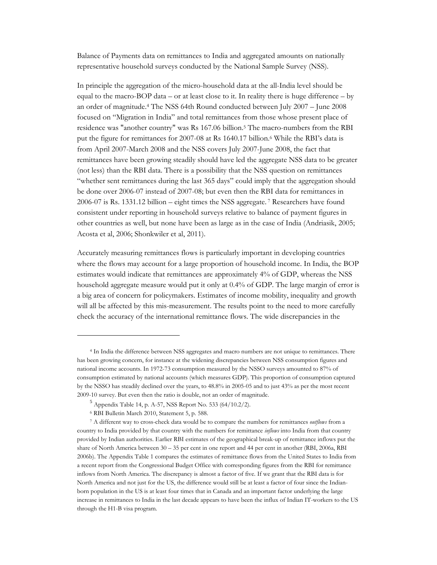Balance of Payments data on remittances to India and aggregated amounts on nationally representative household surveys conducted by the National Sample Survey (NSS).

In principle the aggregation of the micro-household data at the all-India level should be equal to the macro-BOP data – or at least close to it. In reality there is huge difference – by an order of magnitude.4 The NSS 64th Round conducted between July 2007 – June 2008 focused on "Migration in India" and total remittances from those whose present place of residence was "another country" was Rs 167.06 billion.5 The macro-numbers from the RBI put the figure for remittances for 2007-08 at Rs 1640.17 billion.6 While the RBI's data is from April 2007-March 2008 and the NSS covers July 2007-June 2008, the fact that remittances have been growing steadily should have led the aggregate NSS data to be greater (not less) than the RBI data. There is a possibility that the NSS question on remittances "whether sent remittances during the last 365 days" could imply that the aggregation should be done over 2006-07 instead of 2007-08; but even then the RBI data for remittances in 2006-07 is Rs. 1331.12 billion – eight times the NSS aggregate. 7 Researchers have found consistent under reporting in household surveys relative to balance of payment figures in other countries as well, but none have been as large as in the case of India (Andriasik, 2005; Acosta et al, 2006; Shonkwiler et al, 2011).

Accurately measuring remittances flows is particularly important in developing countries where the flows may account for a large proportion of household income. In India, the BOP estimates would indicate that remittances are approximately 4% of GDP, whereas the NSS household aggregate measure would put it only at 0.4% of GDP. The large margin of error is a big area of concern for policymakers. Estimates of income mobility, inequality and growth will all be affected by this mis-measurement. The results point to the need to more carefully check the accuracy of the international remittance flows. The wide discrepancies in the

 $\overline{a}$ 

<sup>4</sup> In India the difference between NSS aggregates and macro numbers are not unique to remittances. There has been growing concern, for instance at the widening discrepancies between NSS consumption figures and national income accounts. In 1972-73 consumption measured by the NSSO surveys amounted to 87% of consumption estimated by national accounts (which measures GDP). This proportion of consumption captured by the NSSO has steadily declined over the years, to 48.8% in 2005-05 and to just 43% as per the most recent 2009-10 survey. But even then the ratio is double, not an order of magnitude.

<sup>5</sup> Appendix Table 14, p. A-57, NSS Report No. 533 (64/10.2/2).

<sup>6</sup> RBI Bulletin March 2010, Statement 5, p. 588.

<sup>7</sup> A different way to cross-check data would be to compare the numbers for remittances *outflows* from a country to India provided by that country with the numbers for remittance *inflows* into India from that country provided by Indian authorities. Earlier RBI estimates of the geographical break-up of remittance inflows put the share of North America between 30 – 35 per cent in one report and 44 per cent in another (RBI, 2006a, RBI 2006b). The Appendix Table 1 compares the estimates of remittance flows from the United States to India from a recent report from the Congressional Budget Office with corresponding figures from the RBI for remittance inflows from North America. The discrepancy is almost a factor of five. If we grant that the RBI data is for North America and not just for the US, the difference would still be at least a factor of four since the Indianborn population in the US is at least four times that in Canada and an important factor underlying the large increase in remittances to India in the last decade appears to have been the influx of Indian IT-workers to the US through the H1-B visa program.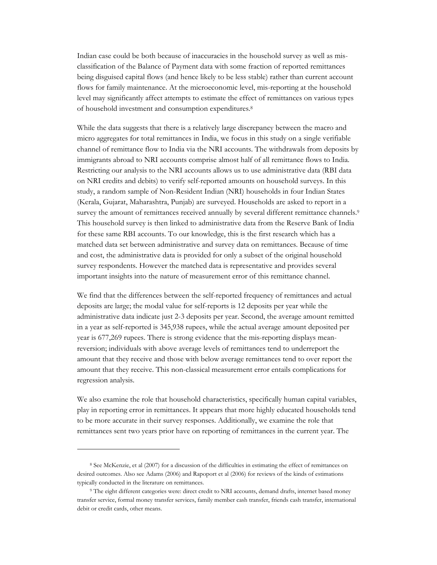Indian case could be both because of inaccuracies in the household survey as well as misclassification of the Balance of Payment data with some fraction of reported remittances being disguised capital flows (and hence likely to be less stable) rather than current account flows for family maintenance. At the microeconomic level, mis-reporting at the household level may significantly affect attempts to estimate the effect of remittances on various types of household investment and consumption expenditures.8

While the data suggests that there is a relatively large discrepancy between the macro and micro aggregates for total remittances in India, we focus in this study on a single verifiable channel of remittance flow to India via the NRI accounts. The withdrawals from deposits by immigrants abroad to NRI accounts comprise almost half of all remittance flows to India. Restricting our analysis to the NRI accounts allows us to use administrative data (RBI data on NRI credits and debits) to verify self-reported amounts on household surveys. In this study, a random sample of Non-Resident Indian (NRI) households in four Indian States (Kerala, Gujarat, Maharashtra, Punjab) are surveyed. Households are asked to report in a survey the amount of remittances received annually by several different remittance channels.<sup>9</sup> This household survey is then linked to administrative data from the Reserve Bank of India for these same RBI accounts. To our knowledge, this is the first research which has a matched data set between administrative and survey data on remittances. Because of time and cost, the administrative data is provided for only a subset of the original household survey respondents. However the matched data is representative and provides several important insights into the nature of measurement error of this remittance channel.

We find that the differences between the self-reported frequency of remittances and actual deposits are large; the modal value for self-reports is 12 deposits per year while the administrative data indicate just 2-3 deposits per year. Second, the average amount remitted in a year as self-reported is 345,938 rupees, while the actual average amount deposited per year is 677,269 rupees. There is strong evidence that the mis-reporting displays meanreversion; individuals with above average levels of remittances tend to underreport the amount that they receive and those with below average remittances tend to over report the amount that they receive. This non-classical measurement error entails complications for regression analysis.

We also examine the role that household characteristics, specifically human capital variables, play in reporting error in remittances. It appears that more highly educated households tend to be more accurate in their survey responses. Additionally, we examine the role that remittances sent two years prior have on reporting of remittances in the current year. The

 $\overline{a}$ 

<sup>8</sup> See McKenzie, et al (2007) for a discussion of the difficulties in estimating the effect of remittances on desired outcomes. Also see Adams (2006) and Rapoport et al (2006) for reviews of the kinds of estimations typically conducted in the literature on remittances.

<sup>&</sup>lt;sup>9</sup> The eight different categories were: direct credit to NRI accounts, demand drafts, internet based money transfer service, formal money transfer services, family member cash transfer, friends cash transfer, international debit or credit cards, other means.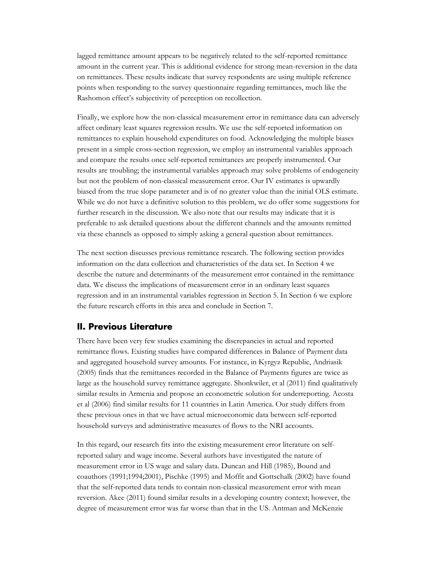lagged remittance amount appears to be negatively related to the self-reported remittance amount in the current year. This is additional evidence for strong mean-reversion in the data on remittances. These results indicate that survey respondents are using multiple reference points when responding to the survey questionnaire regarding remittances, much like the Rashomon effect's subjectivity of perception on recollection.

Finally, we explore how the non-classical measurement error in remittance data can adversely affect ordinary least squares regression results. We use the self-reported information on remittances to explain household expenditures on food. Acknowledging the multiple biases present in a simple cross-section regression, we employ an instrumental variables approach and compare the results once self-reported remittances are properly instrumented. Our results are troubling; the instrumental variables approach may solve problems of endogeneity but not the problem of non-classical measurement error. Our IV estimates is upwardly biased from the true slope parameter and is of no greater value than the initial OLS estimate. While we do not have a definitive solution to this problem, we do offer some suggestions for further research in the discussion. We also note that our results may indicate that it is preferable to ask detailed questions about the different channels and the amounts remitted via these channels as opposed to simply asking a general question about remittances.

The next section discusses previous remittance research. The following section provides information on the data collection and characteristics of the data set. In Section 4 we describe the nature and determinants of the measurement error contained in the remittance data. We discuss the implications of measurement error in an ordinary least squares regression and in an instrumental variables regression in Section 5. In Section 6 we explore the future research efforts in this area and conclude in Section 7.

#### **II. Previous Literature**

There have been very few studies examining the discrepancies in actual and reported remittance flows. Existing studies have compared differences in Balance of Payment data and aggregated household survey amounts. For instance, in Kyrgyz Republic, Andriasik (2005) finds that the remittances recorded in the Balance of Payments figures are twice as large as the household survey remittance aggregate. Shonkwiler, et al (2011) find qualitatively similar results in Armenia and propose an econometric solution for underreporting. Acosta et al (2006) find similar results for 11 countries in Latin America. Our study differs from these previous ones in that we have actual microeconomic data between self-reported household surveys and administrative measures of flows to the NRI accounts.

In this regard, our research fits into the existing measurement error literature on selfreported salary and wage income. Several authors have investigated the nature of measurement error in US wage and salary data. Duncan and Hill (1985), Bound and coauthors (1991;1994;2001), Pischke (1995) and Moffit and Gottschalk (2002) have found that the self-reported data tends to contain non-classical measurement error with mean reversion. Akee (2011) found similar results in a developing country context; however, the degree of measurement error was far worse than that in the US. Antman and McKenzie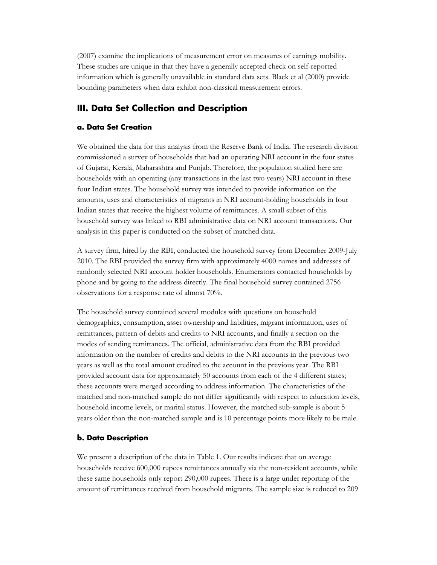(2007) examine the implications of measurement error on measures of earnings mobility. These studies are unique in that they have a generally accepted check on self-reported information which is generally unavailable in standard data sets. Black et al (2000) provide bounding parameters when data exhibit non-classical measurement errors.

#### **III. Data Set Collection and Description**

#### **a. Data Set Creation**

We obtained the data for this analysis from the Reserve Bank of India. The research division commissioned a survey of households that had an operating NRI account in the four states of Gujarat, Kerala, Maharashtra and Punjab. Therefore, the population studied here are households with an operating (any transactions in the last two years) NRI account in these four Indian states. The household survey was intended to provide information on the amounts, uses and characteristics of migrants in NRI account-holding households in four Indian states that receive the highest volume of remittances. A small subset of this household survey was linked to RBI administrative data on NRI account transactions. Our analysis in this paper is conducted on the subset of matched data.

A survey firm, hired by the RBI, conducted the household survey from December 2009-July 2010. The RBI provided the survey firm with approximately 4000 names and addresses of randomly selected NRI account holder households. Enumerators contacted households by phone and by going to the address directly. The final household survey contained 2756 observations for a response rate of almost 70%.

The household survey contained several modules with questions on household demographics, consumption, asset ownership and liabilities, migrant information, uses of remittances, pattern of debits and credits to NRI accounts, and finally a section on the modes of sending remittances. The official, administrative data from the RBI provided information on the number of credits and debits to the NRI accounts in the previous two years as well as the total amount credited to the account in the previous year. The RBI provided account data for approximately 50 accounts from each of the 4 different states; these accounts were merged according to address information. The characteristics of the matched and non-matched sample do not differ significantly with respect to education levels, household income levels, or marital status. However, the matched sub-sample is about 5 years older than the non-matched sample and is 10 percentage points more likely to be male.

#### **b. Data Description**

We present a description of the data in Table 1. Our results indicate that on average households receive 600,000 rupees remittances annually via the non-resident accounts, while these same households only report 290,000 rupees. There is a large under reporting of the amount of remittances received from household migrants. The sample size is reduced to 209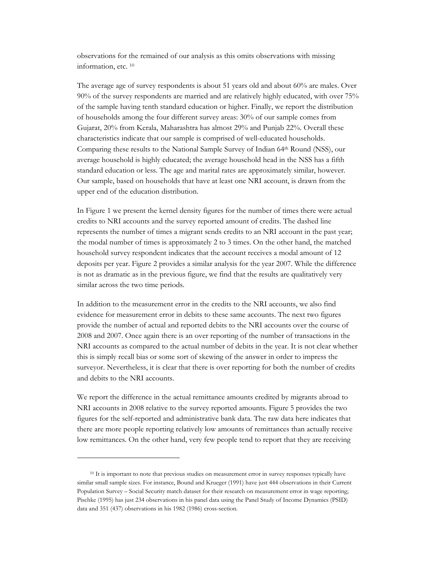observations for the remained of our analysis as this omits observations with missing information, etc. 10

The average age of survey respondents is about 51 years old and about 60% are males. Over 90% of the survey respondents are married and are relatively highly educated, with over 75% of the sample having tenth standard education or higher. Finally, we report the distribution of households among the four different survey areas: 30% of our sample comes from Gujarat, 20% from Kerala, Maharashtra has almost 29% and Punjab 22%. Overall these characteristics indicate that our sample is comprised of well-educated households. Comparing these results to the National Sample Survey of Indian 64th Round (NSS), our average household is highly educated; the average household head in the NSS has a fifth standard education or less. The age and marital rates are approximately similar, however. Our sample, based on households that have at least one NRI account, is drawn from the upper end of the education distribution.

In Figure 1 we present the kernel density figures for the number of times there were actual credits to NRI accounts and the survey reported amount of credits. The dashed line represents the number of times a migrant sends credits to an NRI account in the past year; the modal number of times is approximately 2 to 3 times. On the other hand, the matched household survey respondent indicates that the account receives a modal amount of 12 deposits per year. Figure 2 provides a similar analysis for the year 2007. While the difference is not as dramatic as in the previous figure, we find that the results are qualitatively very similar across the two time periods.

In addition to the measurement error in the credits to the NRI accounts, we also find evidence for measurement error in debits to these same accounts. The next two figures provide the number of actual and reported debits to the NRI accounts over the course of 2008 and 2007. Once again there is an over reporting of the number of transactions in the NRI accounts as compared to the actual number of debits in the year. It is not clear whether this is simply recall bias or some sort of skewing of the answer in order to impress the surveyor. Nevertheless, it is clear that there is over reporting for both the number of credits and debits to the NRI accounts.

We report the difference in the actual remittance amounts credited by migrants abroad to NRI accounts in 2008 relative to the survey reported amounts. Figure 5 provides the two figures for the self-reported and administrative bank data. The raw data here indicates that there are more people reporting relatively low amounts of remittances than actually receive low remittances. On the other hand, very few people tend to report that they are receiving

-

<sup>&</sup>lt;sup>10</sup> It is important to note that previous studies on measurement error in survey responses typically have similar small sample sizes. For instance, Bound and Krueger (1991) have just 444 observations in their Current Population Survey – Social Security match dataset for their research on measurement error in wage reporting; Pischke (1995) has just 234 observations in his panel data using the Panel Study of Income Dynamics (PSID) data and 351 (437) observations in his 1982 (1986) cross-section.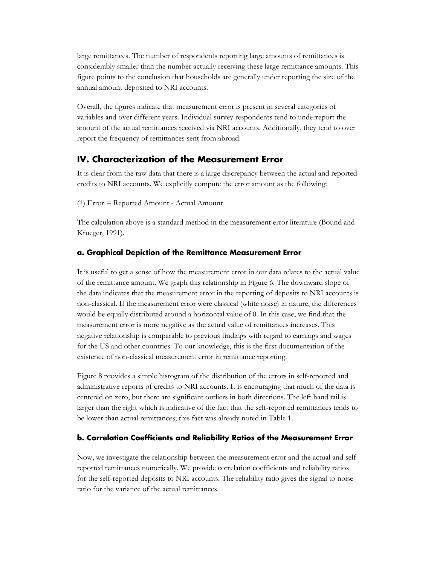large remittances. The number of respondents reporting large amounts of remittances is considerably smaller than the number actually receiving these large remittance amounts. This figure points to the conclusion that households are generally under reporting the size of the annual amount deposited to NRI accounts.

Overall, the figures indicate that measurement error is present in several categories of variables and over different years. Individual survey respondents tend to underreport the amount of the actual remittances received via NRI accounts. Additionally, they tend to over report the frequency of remittances sent from abroad.

#### **IV. Characterization of the Measurement Error**

It is clear from the raw data that there is a large discrepancy between the actual and reported credits to NRI accounts. We explicitly compute the error amount as the following:

(1) Error = Reported Amount - Actual Amount

The calculation above is a standard method in the measurement error literature (Bound and Krueger, 1991).

#### **a. Graphical Depiction of the Remittance Measurement Error**

It is useful to get a sense of how the measurement error in our data relates to the actual value of the remittance amount. We graph this relationship in Figure 6. The downward slope of the data indicates that the measurement error in the reporting of deposits to NRI accounts is non-classical. If the measurement error were classical (white noise) in nature, the differences would be equally distributed around a horizontal value of 0. In this case, we find that the measurement error is more negative as the actual value of remittances increases. This negative relationship is comparable to previous findings with regard to earnings and wages for the US and other countries. To our knowledge, this is the first documentation of the existence of non-classical measurement error in remittance reporting.

Figure 8 provides a simple histogram of the distribution of the errors in self-reported and administrative reports of credits to NRI accounts. It is encouraging that much of the data is centered on zero, but there are significant outliers in both directions. The left hand tail is larger than the right which is indicative of the fact that the self-reported remittances tends to be lower than actual remittances; this fact was already noted in Table 1.

#### **b. Correlation Coefficients and Reliability Ratios of the Measurement Error**

Now, we investigate the relationship between the measurement error and the actual and selfreported remittances numerically. We provide correlation coefficients and reliability ratios for the self-reported deposits to NRI accounts. The reliability ratio gives the signal to noise ratio for the variance of the actual remittances.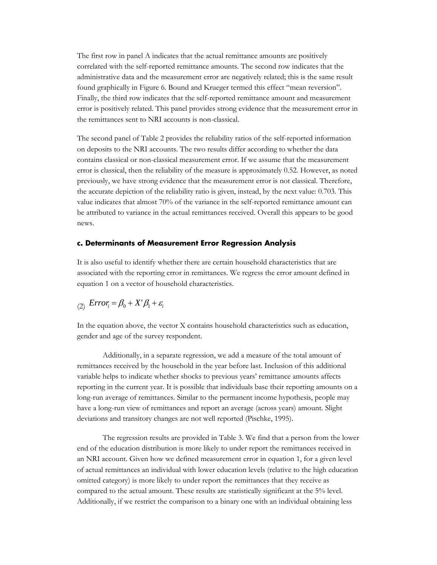The first row in panel A indicates that the actual remittance amounts are positively correlated with the self-reported remittance amounts. The second row indicates that the administrative data and the measurement error are negatively related; this is the same result found graphically in Figure 6. Bound and Krueger termed this effect "mean reversion". Finally, the third row indicates that the self-reported remittance amount and measurement error is positively related. This panel provides strong evidence that the measurement error in the remittances sent to NRI accounts is non-classical.

The second panel of Table 2 provides the reliability ratios of the self-reported information on deposits to the NRI accounts. The two results differ according to whether the data contains classical or non-classical measurement error. If we assume that the measurement error is classical, then the reliability of the measure is approximately 0.52. However, as noted previously, we have strong evidence that the measurement error is not classical. Therefore, the accurate depiction of the reliability ratio is given, instead, by the next value: 0.703. This value indicates that almost 70% of the variance in the self-reported remittance amount can be attributed to variance in the actual remittances received. Overall this appears to be good news.

#### **c. Determinants of Measurement Error Regression Analysis**

It is also useful to identify whether there are certain household characteristics that are associated with the reporting error in remittances. We regress the error amount defined in equation 1 on a vector of household characteristics.

$$
(2) Error_i = \beta_0 + X'\beta_1 + \varepsilon_i
$$

In the equation above, the vector X contains household characteristics such as education, gender and age of the survey respondent.

 Additionally, in a separate regression, we add a measure of the total amount of remittances received by the household in the year before last. Inclusion of this additional variable helps to indicate whether shocks to previous years' remittance amounts affects reporting in the current year. It is possible that individuals base their reporting amounts on a long-run average of remittances. Similar to the permanent income hypothesis, people may have a long-run view of remittances and report an average (across years) amount. Slight deviations and transitory changes are not well reported (Pischke, 1995).

 The regression results are provided in Table 3. We find that a person from the lower end of the education distribution is more likely to under report the remittances received in an NRI account. Given how we defined measurement error in equation 1, for a given level of actual remittances an individual with lower education levels (relative to the high education omitted category) is more likely to under report the remittances that they receive as compared to the actual amount. These results are statistically significant at the 5% level. Additionally, if we restrict the comparison to a binary one with an individual obtaining less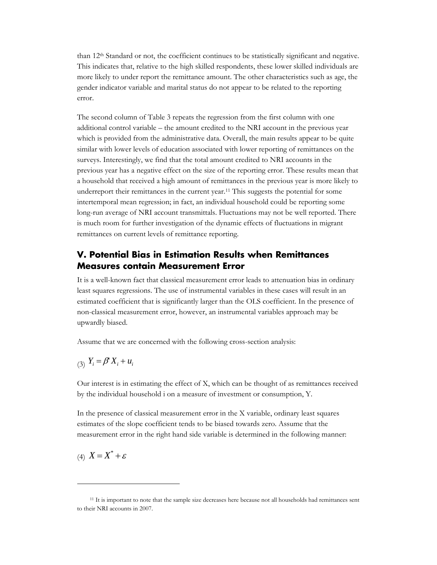than 12th Standard or not, the coefficient continues to be statistically significant and negative. This indicates that, relative to the high skilled respondents, these lower skilled individuals are more likely to under report the remittance amount. The other characteristics such as age, the gender indicator variable and marital status do not appear to be related to the reporting error.

The second column of Table 3 repeats the regression from the first column with one additional control variable – the amount credited to the NRI account in the previous year which is provided from the administrative data. Overall, the main results appear to be quite similar with lower levels of education associated with lower reporting of remittances on the surveys. Interestingly, we find that the total amount credited to NRI accounts in the previous year has a negative effect on the size of the reporting error. These results mean that a household that received a high amount of remittances in the previous year is more likely to underreport their remittances in the current year.11 This suggests the potential for some intertemporal mean regression; in fact, an individual household could be reporting some long-run average of NRI account transmittals. Fluctuations may not be well reported. There is much room for further investigation of the dynamic effects of fluctuations in migrant remittances on current levels of remittance reporting.

#### **V. Potential Bias in Estimation Results when Remittances Measures contain Measurement Error**

It is a well-known fact that classical measurement error leads to attenuation bias in ordinary least squares regressions. The use of instrumental variables in these cases will result in an estimated coefficient that is significantly larger than the OLS coefficient. In the presence of non-classical measurement error, however, an instrumental variables approach may be upwardly biased.

Assume that we are concerned with the following cross-section analysis:

$$
(3) \ Y_i = \beta' X_i + u_i
$$

Our interest is in estimating the effect of X, which can be thought of as remittances received by the individual household i on a measure of investment or consumption, Y.

In the presence of classical measurement error in the X variable, ordinary least squares estimates of the slope coefficient tends to be biased towards zero. Assume that the measurement error in the right hand side variable is determined in the following manner:

(4)  $X = X^* + \varepsilon$ 

<u>.</u>

<sup>11</sup> It is important to note that the sample size decreases here because not all households had remittances sent to their NRI accounts in 2007.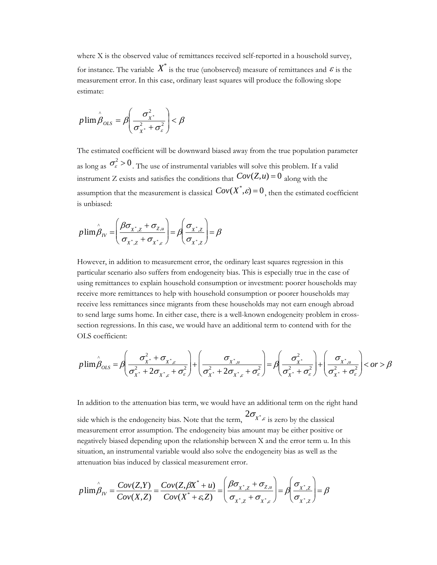where X is the observed value of remittances received self-reported in a household survey, for instance. The variable  $X^*$  is the true (unobserved) measure of remittances and  $\varepsilon$  is the measurement error. In this case, ordinary least squares will produce the following slope estimate:

$$
p\lim \hat{\beta}_{OLS} = \beta \left(\frac{\sigma_{X^*}^2}{\sigma_{X^*}^2 + \sigma_{\varepsilon}^2}\right) < \beta
$$

The estimated coefficient will be downward biased away from the true population parameter as long as  $\sigma_{\varepsilon}^2 > 0$ . The use of instrumental variables will solve this problem. If a valid instrument Z exists and satisfies the conditions that  $Cov(Z, u) = 0$  along with the assumption that the measurement is classical  $Cov(X^*, \varepsilon) = 0$ , then the estimated coefficient is unbiased:

$$
p\lim_{\beta_{IV}}\hat{\beta}_{IV}=\left(\frac{\beta\sigma_{X^*,Z}+\sigma_{Z,u}}{\sigma_{X^*,Z}+\sigma_{X^*,z}}\right)=\beta\left(\frac{\sigma_{X^*,Z}}{\sigma_{X^*,Z}}\right)=\beta
$$

However, in addition to measurement error, the ordinary least squares regression in this particular scenario also suffers from endogeneity bias. This is especially true in the case of using remittances to explain household consumption or investment: poorer households may receive more remittances to help with household consumption or poorer households may receive less remittances since migrants from these households may not earn enough abroad to send large sums home. In either case, there is a well-known endogeneity problem in crosssection regressions. In this case, we would have an additional term to contend with for the OLS coefficient:

$$
p\lim_{\beta\to\infty}\hat{\beta}_{OLS}=\beta\left(\frac{\sigma_{x^*}^2+\sigma_{x^*}\sigma_{x^*}}{\sigma_{x^*}^2+2\sigma_{x^*}\sigma_{\varepsilon}^2}\right)+\left(\frac{\sigma_{x^*}\sigma_{x^*}}{\sigma_{x^*}^2+2\sigma_{x^*}\sigma_{\varepsilon}^2}+\sigma_{\varepsilon}^2\right)=\beta\left(\frac{\sigma_{x^*}^2}{\sigma_{x^*}^2+\sigma_{\varepsilon}^2}\right)+\left(\frac{\sigma_{x^*}\sigma_{x^*}\sigma_{x^*}}{\sigma_{x^*}^2+\sigma_{\varepsilon}^2}\right)\beta
$$

In addition to the attenuation bias term, we would have an additional term on the right hand side which is the endogeneity bias. Note that the term,  $2\sigma_{X^*\hat{\epsilon}}$  is zero by the classical measurement error assumption. The endogeneity bias amount may be either positive or negatively biased depending upon the relationship between X and the error term u. In this situation, an instrumental variable would also solve the endogeneity bias as well as the attenuation bias induced by classical measurement error.

$$
p\lim_{\beta_N} \hat{\beta}_N = \frac{Cov(Z,Y)}{Cov(X,Z)} = \frac{Cov(Z,\beta X^* + u)}{Cov(X^* + \varepsilon, Z)} = \left(\frac{\beta \sigma_{X^*,Z} + \sigma_{Z,u}}{\sigma_{X^*,Z} + \sigma_{X^*,\varepsilon}}\right) = \beta \left(\frac{\sigma_{X^*,Z}}{\sigma_{X^*,Z}}\right) = \beta
$$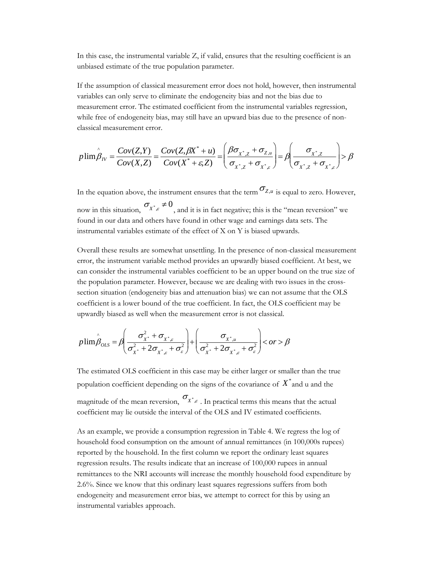In this case, the instrumental variable Z, if valid, ensures that the resulting coefficient is an unbiased estimate of the true population parameter.

If the assumption of classical measurement error does not hold, however, then instrumental variables can only serve to eliminate the endogeneity bias and not the bias due to measurement error. The estimated coefficient from the instrumental variables regression, while free of endogeneity bias, may still have an upward bias due to the presence of nonclassical measurement error.

$$
p\lim_{\beta_N} \hat{\beta}_N = \frac{Cov(Z,Y)}{Cov(X,Z)} = \frac{Cov(Z,\beta X^* + u)}{Cov(X^* + \varepsilon,Z)} = \left(\frac{\beta \sigma_{X^*Z} + \sigma_{Z,u}}{\sigma_{X^*Z} + \sigma_{X^*z}}\right) = \beta \left(\frac{\sigma_{X^*Z}}{\sigma_{X^*Z} + \sigma_{X^*z}}\right) > \beta
$$

In the equation above, the instrument ensures that the term  $\sigma_{Z,u}$  is equal to zero. However, now in this situation,  $\sigma_{x^*\epsilon} \neq 0$ , and it is in fact negative; this is the "mean reversion" we found in our data and others have found in other wage and earnings data sets. The instrumental variables estimate of the effect of X on Y is biased upwards.

Overall these results are somewhat unsettling. In the presence of non-classical measurement error, the instrument variable method provides an upwardly biased coefficient. At best, we can consider the instrumental variables coefficient to be an upper bound on the true size of the population parameter. However, because we are dealing with two issues in the crosssection situation (endogeneity bias and attenuation bias) we can not assume that the OLS coefficient is a lower bound of the true coefficient. In fact, the OLS coefficient may be upwardly biased as well when the measurement error is not classical.

$$
p\lim_{\beta}\hat{\beta}_{OLS} = \beta\left(\frac{\sigma_{x^*}^2 + \sigma_{x^*}}{\sigma_{x^*}^2 + 2\sigma_{x^*}\sigma_{\epsilon}}\right) + \left(\frac{\sigma_{x^*}}{\sigma_{x^*}^2 + 2\sigma_{x^*}\sigma_{\epsilon}}\right) < or > \beta
$$

The estimated OLS coefficient in this case may be either larger or smaller than the true population coefficient depending on the signs of the covariance of *X*\* and u and the magnitude of the mean reversion,  $\sigma_{X^*,\epsilon}$ . In practical terms this means that the actual coefficient may lie outside the interval of the OLS and IV estimated coefficients.

As an example, we provide a consumption regression in Table 4. We regress the log of household food consumption on the amount of annual remittances (in 100,000s rupees) reported by the household. In the first column we report the ordinary least squares regression results. The results indicate that an increase of 100,000 rupees in annual remittances to the NRI accounts will increase the monthly household food expenditure by 2.6%. Since we know that this ordinary least squares regressions suffers from both endogeneity and measurement error bias, we attempt to correct for this by using an instrumental variables approach.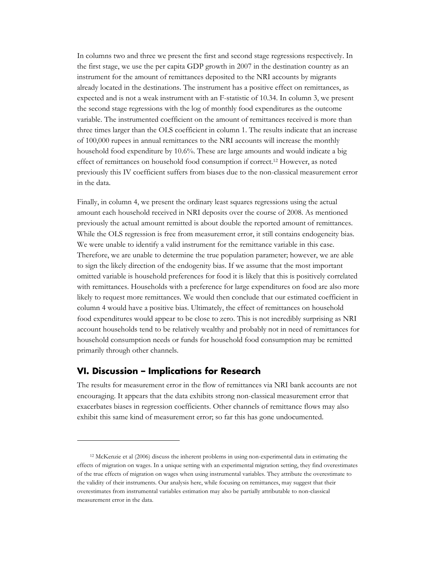In columns two and three we present the first and second stage regressions respectively. In the first stage, we use the per capita GDP growth in 2007 in the destination country as an instrument for the amount of remittances deposited to the NRI accounts by migrants already located in the destinations. The instrument has a positive effect on remittances, as expected and is not a weak instrument with an F-statistic of 10.34. In column 3, we present the second stage regressions with the log of monthly food expenditures as the outcome variable. The instrumented coefficient on the amount of remittances received is more than three times larger than the OLS coefficient in column 1. The results indicate that an increase of 100,000 rupees in annual remittances to the NRI accounts will increase the monthly household food expenditure by 10.6%. These are large amounts and would indicate a big effect of remittances on household food consumption if correct.12 However, as noted previously this IV coefficient suffers from biases due to the non-classical measurement error in the data.

Finally, in column 4, we present the ordinary least squares regressions using the actual amount each household received in NRI deposits over the course of 2008. As mentioned previously the actual amount remitted is about double the reported amount of remittances. While the OLS regression is free from measurement error, it still contains endogeneity bias. We were unable to identify a valid instrument for the remittance variable in this case. Therefore, we are unable to determine the true population parameter; however, we are able to sign the likely direction of the endogenity bias. If we assume that the most important omitted variable is household preferences for food it is likely that this is positively correlated with remittances. Households with a preference for large expenditures on food are also more likely to request more remittances. We would then conclude that our estimated coefficient in column 4 would have a positive bias. Ultimately, the effect of remittances on household food expenditures would appear to be close to zero. This is not incredibly surprising as NRI account households tend to be relatively wealthy and probably not in need of remittances for household consumption needs or funds for household food consumption may be remitted primarily through other channels.

#### **VI. Discussion – Implications for Research**

 $\overline{a}$ 

The results for measurement error in the flow of remittances via NRI bank accounts are not encouraging. It appears that the data exhibits strong non-classical measurement error that exacerbates biases in regression coefficients. Other channels of remittance flows may also exhibit this same kind of measurement error; so far this has gone undocumented.

<sup>12</sup> McKenzie et al (2006) discuss the inherent problems in using non-experimental data in estimating the effects of migration on wages. In a unique setting with an experimental migration setting, they find overestimates of the true effects of migration on wages when using instrumental variables. They attribute the overestimate to the validity of their instruments. Our analysis here, while focusing on remittances, may suggest that their overestimates from instrumental variables estimation may also be partially attributable to non-classical measurement error in the data.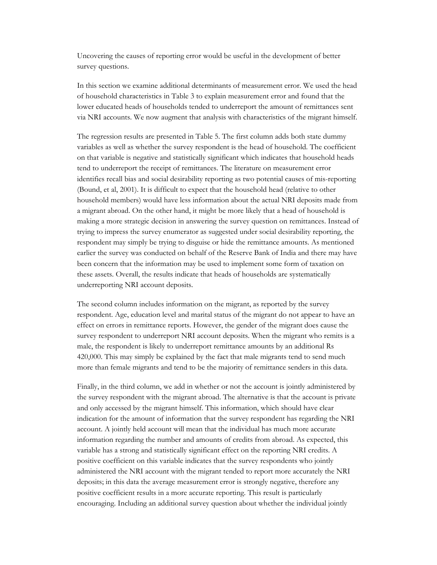Uncovering the causes of reporting error would be useful in the development of better survey questions.

In this section we examine additional determinants of measurement error. We used the head of household characteristics in Table 3 to explain measurement error and found that the lower educated heads of households tended to underreport the amount of remittances sent via NRI accounts. We now augment that analysis with characteristics of the migrant himself.

The regression results are presented in Table 5. The first column adds both state dummy variables as well as whether the survey respondent is the head of household. The coefficient on that variable is negative and statistically significant which indicates that household heads tend to underreport the receipt of remittances. The literature on measurement error identifies recall bias and social desirability reporting as two potential causes of mis-reporting (Bound, et al, 2001). It is difficult to expect that the household head (relative to other household members) would have less information about the actual NRI deposits made from a migrant abroad. On the other hand, it might be more likely that a head of household is making a more strategic decision in answering the survey question on remittances. Instead of trying to impress the survey enumerator as suggested under social desirability reporting, the respondent may simply be trying to disguise or hide the remittance amounts. As mentioned earlier the survey was conducted on behalf of the Reserve Bank of India and there may have been concern that the information may be used to implement some form of taxation on these assets. Overall, the results indicate that heads of households are systematically underreporting NRI account deposits.

The second column includes information on the migrant, as reported by the survey respondent. Age, education level and marital status of the migrant do not appear to have an effect on errors in remittance reports. However, the gender of the migrant does cause the survey respondent to underreport NRI account deposits. When the migrant who remits is a male, the respondent is likely to underreport remittance amounts by an additional Rs 420,000. This may simply be explained by the fact that male migrants tend to send much more than female migrants and tend to be the majority of remittance senders in this data.

Finally, in the third column, we add in whether or not the account is jointly administered by the survey respondent with the migrant abroad. The alternative is that the account is private and only accessed by the migrant himself. This information, which should have clear indication for the amount of information that the survey respondent has regarding the NRI account. A jointly held account will mean that the individual has much more accurate information regarding the number and amounts of credits from abroad. As expected, this variable has a strong and statistically significant effect on the reporting NRI credits. A positive coefficient on this variable indicates that the survey respondents who jointly administered the NRI account with the migrant tended to report more accurately the NRI deposits; in this data the average measurement error is strongly negative, therefore any positive coefficient results in a more accurate reporting. This result is particularly encouraging. Including an additional survey question about whether the individual jointly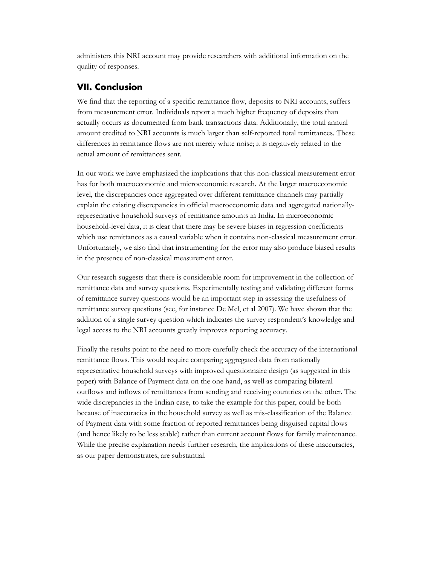administers this NRI account may provide researchers with additional information on the quality of responses.

#### **VII. Conclusion**

We find that the reporting of a specific remittance flow, deposits to NRI accounts, suffers from measurement error. Individuals report a much higher frequency of deposits than actually occurs as documented from bank transactions data. Additionally, the total annual amount credited to NRI accounts is much larger than self-reported total remittances. These differences in remittance flows are not merely white noise; it is negatively related to the actual amount of remittances sent.

In our work we have emphasized the implications that this non-classical measurement error has for both macroeconomic and microeconomic research. At the larger macroeconomic level, the discrepancies once aggregated over different remittance channels may partially explain the existing discrepancies in official macroeconomic data and aggregated nationallyrepresentative household surveys of remittance amounts in India. In microeconomic household-level data, it is clear that there may be severe biases in regression coefficients which use remittances as a causal variable when it contains non-classical measurement error. Unfortunately, we also find that instrumenting for the error may also produce biased results in the presence of non-classical measurement error.

Our research suggests that there is considerable room for improvement in the collection of remittance data and survey questions. Experimentally testing and validating different forms of remittance survey questions would be an important step in assessing the usefulness of remittance survey questions (see, for instance De Mel, et al 2007). We have shown that the addition of a single survey question which indicates the survey respondent's knowledge and legal access to the NRI accounts greatly improves reporting accuracy.

Finally the results point to the need to more carefully check the accuracy of the international remittance flows. This would require comparing aggregated data from nationally representative household surveys with improved questionnaire design (as suggested in this paper) with Balance of Payment data on the one hand, as well as comparing bilateral outflows and inflows of remittances from sending and receiving countries on the other. The wide discrepancies in the Indian case, to take the example for this paper, could be both because of inaccuracies in the household survey as well as mis-classification of the Balance of Payment data with some fraction of reported remittances being disguised capital flows (and hence likely to be less stable) rather than current account flows for family maintenance. While the precise explanation needs further research, the implications of these inaccuracies, as our paper demonstrates, are substantial.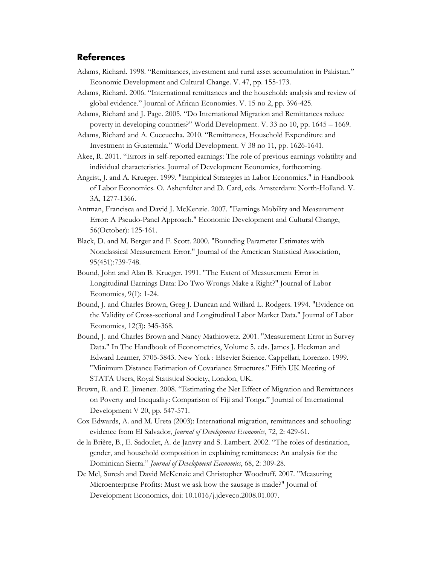#### **References**

- Adams, Richard. 1998. "Remittances, investment and rural asset accumulation in Pakistan." Economic Development and Cultural Change. V. 47, pp. 155-173.
- Adams, Richard. 2006. "International remittances and the household: analysis and review of global evidence." Journal of African Economies. V. 15 no 2, pp. 396-425.
- Adams, Richard and J. Page. 2005. "Do International Migration and Remittances reduce poverty in developing countries?" World Development. V. 33 no 10, pp. 1645 – 1669.
- Adams, Richard and A. Cuecuecha. 2010. "Remittances, Household Expenditure and Investment in Guatemala." World Development. V 38 no 11, pp. 1626-1641.
- Akee, R. 2011. "Errors in self-reported earnings: The role of previous earnings volatility and individual characteristics. Journal of Development Economics, forthcoming.
- Angrist, J. and A. Krueger. 1999. "Empirical Strategies in Labor Economics." in Handbook of Labor Economics. O. Ashenfelter and D. Card, eds. Amsterdam: North-Holland. V. 3A, 1277-1366.
- Antman, Francisca and David J. McKenzie. 2007. "Earnings Mobility and Measurement Error: A Pseudo-Panel Approach." Economic Development and Cultural Change, 56(October): 125-161.
- Black, D. and M. Berger and F. Scott. 2000. "Bounding Parameter Estimates with Nonclassical Measurement Error." Journal of the American Statistical Association, 95(451):739-748.
- Bound, John and Alan B. Krueger. 1991. "The Extent of Measurement Error in Longitudinal Earnings Data: Do Two Wrongs Make a Right?" Journal of Labor Economics, 9(1): 1-24.
- Bound, J. and Charles Brown, Greg J. Duncan and Willard L. Rodgers. 1994. "Evidence on the Validity of Cross-sectional and Longitudinal Labor Market Data." Journal of Labor Economics, 12(3): 345-368.
- Bound, J. and Charles Brown and Nancy Mathiowetz. 2001. "Measurement Error in Survey Data." In The Handbook of Econometrics, Volume 5. eds. James J. Heckman and Edward Leamer, 3705-3843. New York : Elsevier Science. Cappellari, Lorenzo. 1999. "Minimum Distance Estimation of Covariance Structures." Fifth UK Meeting of STATA Users, Royal Statistical Society, London, UK.
- Brown, R. and E. Jimenez. 2008. "Estimating the Net Effect of Migration and Remittances on Poverty and Inequality: Comparison of Fiji and Tonga." Journal of International Development V 20, pp. 547-571.
- Cox Edwards, A. and M. Ureta (2003): International migration, remittances and schooling: evidence from El Salvador, *Journal of Development Economics*, 72, 2: 429-61.
- de la Brière, B., E. Sadoulet, A. de Janvry and S. Lambert. 2002. "The roles of destination, gender, and household composition in explaining remittances: An analysis for the Dominican Sierra." *Journal of Development Economics*, 68, 2: 309-28.
- De Mel, Suresh and David McKenzie and Christopher Woodruff. 2007. "Measuring Microenterprise Profits: Must we ask how the sausage is made?" Journal of Development Economics, doi: 10.1016/j.jdeveco.2008.01.007.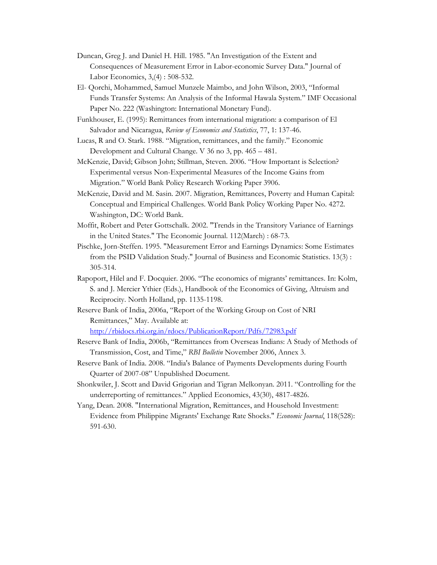- Duncan, Greg J. and Daniel H. Hill. 1985. "An Investigation of the Extent and Consequences of Measurement Error in Labor-economic Survey Data." Journal of Labor Economics, 3,(4) : 508-532.
- El- Qorchi, Mohammed, Samuel Munzele Maimbo, and John Wilson, 2003, "Informal Funds Transfer Systems: An Analysis of the Informal Hawala System." IMF Occasional Paper No. 222 (Washington: International Monetary Fund).
- Funkhouser, E. (1995): Remittances from international migration: a comparison of El Salvador and Nicaragua, *Review of Economics and Statistics*, 77, 1: 137-46.
- Lucas, R and O. Stark. 1988. "Migration, remittances, and the family." Economic Development and Cultural Change. V 36 no 3, pp. 465 – 481.
- McKenzie, David; Gibson John; Stillman, Steven. 2006. "How Important is Selection? Experimental versus Non-Experimental Measures of the Income Gains from Migration." World Bank Policy Research Working Paper 3906.
- McKenzie, David and M. Sasin. 2007. Migration, Remittances, Poverty and Human Capital: Conceptual and Empirical Challenges. World Bank Policy Working Paper No. 4272. Washington, DC: World Bank.
- Moffit, Robert and Peter Gottschalk. 2002. "Trends in the Transitory Variance of Earnings in the United States." The Economic Journal. 112(March) : 68-73.
- Pischke, Jorn-Steffen. 1995. "Measurement Error and Earnings Dynamics: Some Estimates from the PSID Validation Study." Journal of Business and Economic Statistics. 13(3) : 305-314.
- Rapoport, Hilel and F. Docquier. 2006. "The economics of migrants' remittances. In: Kolm, S. and J. Mercier Ythier (Eds.), Handbook of the Economics of Giving, Altruism and Reciprocity. North Holland, pp. 1135-1198.
- Reserve Bank of India, 2006a, "Report of the Working Group on Cost of NRI Remittances," May. Available at: <http://rbidocs.rbi.org.in/rdocs/PublicationReport/Pdfs/72983.pdf>
- Reserve Bank of India, 2006b, "Remittances from Overseas Indians: A Study of Methods of Transmission, Cost, and Time," *RBI Bulletin* November 2006, Annex 3.
- Reserve Bank of India. 2008. "India's Balance of Payments Developments during Fourth Quarter of 2007-08" Unpublished Document.
- Shonkwiler, J. Scott and David Grigorian and Tigran Melkonyan. 2011. "Controlling for the underreporting of remittances." Applied Economics, 43(30), 4817-4826.
- Yang, Dean. 2008. "International Migration, Remittances, and Household Investment: Evidence from Philippine Migrants' Exchange Rate Shocks." *Economic Journal*, 118(528): 591-630.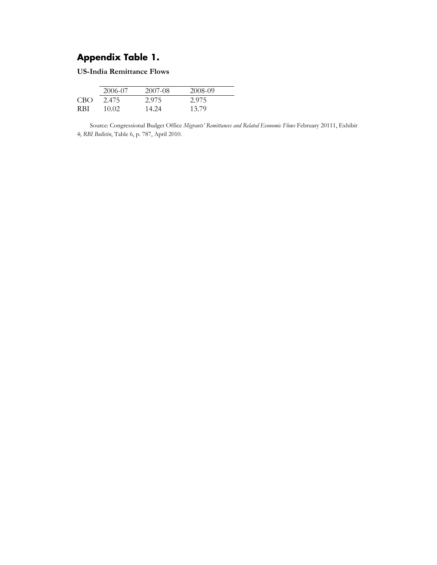### **Appendix Table 1.**

#### **US-India Remittance Flows**

|            | 2006-07 | 2007-08 | 2008-09 |  |
|------------|---------|---------|---------|--|
| <b>CBO</b> | 2.475   | 2.975   | 2.975   |  |
| <b>RBI</b> | 10.02   | 14.24   | 13.79   |  |

Source: Congressional Budget Office *Migrants' Remittances and Related Economic Flows* February 20111, Exhibit 4; *RBI Bulletin*, Table 6, p. 787, April 2010.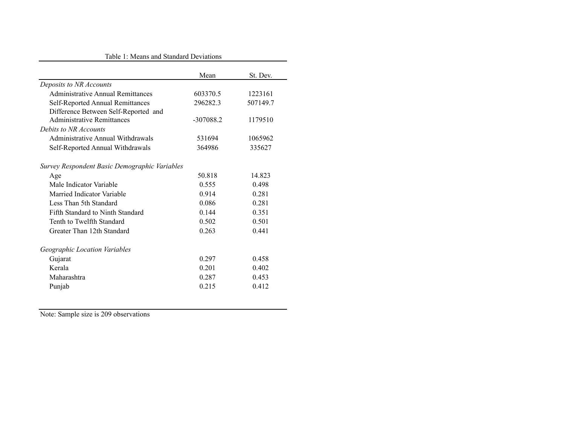#### Table 1: Means and Standard Deviations

|                                               | Mean        | St. Dev. |
|-----------------------------------------------|-------------|----------|
| Deposits to NR Accounts                       |             |          |
| <b>Administrative Annual Remittances</b>      | 603370.5    | 1223161  |
| Self-Reported Annual Remittances              | 296282.3    | 507149.7 |
| Difference Between Self-Reported and          |             |          |
| <b>Administrative Remittances</b>             | $-307088.2$ | 1179510  |
| Debits to NR Accounts                         |             |          |
| Administrative Annual Withdrawals             | 531694      | 1065962  |
| Self-Reported Annual Withdrawals              | 364986      | 335627   |
| Survey Respondent Basic Demographic Variables |             |          |
| Age                                           | 50.818      | 14823    |
| Male Indicator Variable                       | 0.555       | 0.498    |
| Married Indicator Variable                    | 0.914       | 0.281    |
| Less Than 5th Standard                        | 0.086       | 0.281    |
| Fifth Standard to Ninth Standard              | 0.144       | 0.351    |
| Tenth to Twelfth Standard                     | 0.502       | 0.501    |
| Greater Than 12th Standard                    | 0.263       | 0.441    |
| Geographic Location Variables                 |             |          |
| Gujarat                                       | 0.297       | 0.458    |
| Kerala                                        | 0.201       | 0.402    |
| Maharashtra                                   | 0.287       | 0.453    |
| Punjab                                        | 0.215       | 0.412    |

Note: Sample size is 209 observations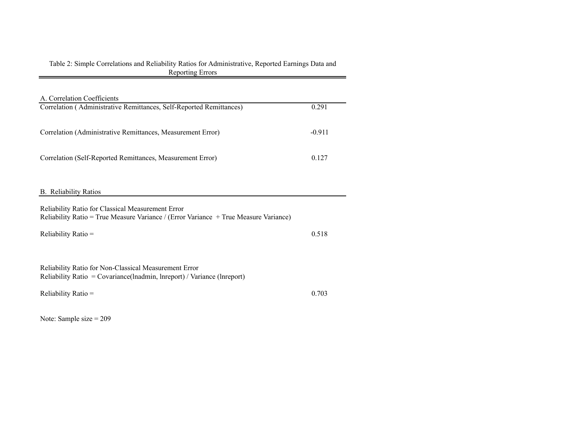| Table 2: Simple Correlations and Reliability Ratios for Administrative, Reported Earnings Data and |  |
|----------------------------------------------------------------------------------------------------|--|
| <b>Reporting Errors</b>                                                                            |  |

| A. Correlation Coefficients                                                                                                       |          |
|-----------------------------------------------------------------------------------------------------------------------------------|----------|
| Correlation (Administrative Remittances, Self-Reported Remittances)                                                               | 0.291    |
|                                                                                                                                   |          |
| Correlation (Administrative Remittances, Measurement Error)                                                                       | $-0.911$ |
| Correlation (Self-Reported Remittances, Measurement Error)                                                                        | 0.127    |
| B. Reliability Ratios                                                                                                             |          |
| Reliability Ratio for Classical Measurement Error                                                                                 |          |
| Reliability Ratio = True Measure Variance / (Error Variance + True Measure Variance)                                              |          |
| Reliability Ratio =                                                                                                               | 0.518    |
|                                                                                                                                   |          |
| Reliability Ratio for Non-Classical Measurement Error<br>Reliability Ratio = $Covariance(Indomin, Inreport) / Variance(Inreport)$ |          |
| Reliability Ratio =                                                                                                               | 0.703    |

Note: Sample size = 209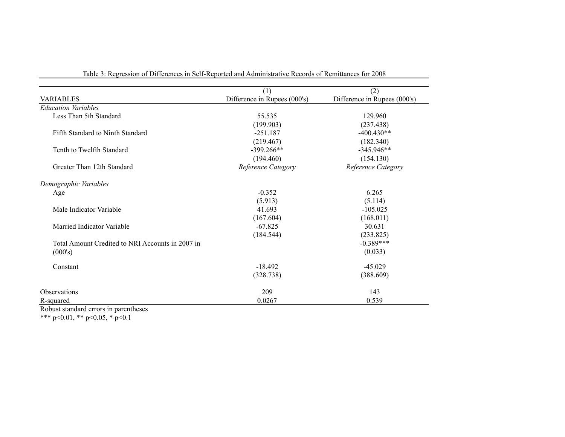|                                                  | (1)                          | (2)                          |
|--------------------------------------------------|------------------------------|------------------------------|
| <b>VARIABLES</b>                                 | Difference in Rupees (000's) | Difference in Rupees (000's) |
| <b>Education Variables</b>                       |                              |                              |
| Less Than 5th Standard                           | 55.535                       | 129.960                      |
|                                                  | (199.903)                    | (237.438)                    |
| Fifth Standard to Ninth Standard                 | $-251.187$                   | $-400.430**$                 |
|                                                  | (219.467)                    | (182.340)                    |
| Tenth to Twelfth Standard                        | $-399.266**$                 | $-345.946**$                 |
|                                                  | (194.460)                    | (154.130)                    |
| Greater Than 12th Standard                       | Reference Category           | Reference Category           |
| Demographic Variables                            |                              |                              |
| Age                                              | $-0.352$                     | 6.265                        |
|                                                  | (5.913)                      | (5.114)                      |
| Male Indicator Variable                          | 41.693                       | $-105.025$                   |
|                                                  | (167.604)                    | (168.011)                    |
| Married Indicator Variable                       | $-67.825$                    | 30.631                       |
|                                                  | (184.544)                    | (233.825)                    |
| Total Amount Credited to NRI Accounts in 2007 in |                              | $-0.389***$                  |
| (000's)                                          |                              | (0.033)                      |
| Constant                                         | $-18.492$                    | $-45.029$                    |
|                                                  | (328.738)                    | (388.609)                    |
| <b>Observations</b>                              | 209                          | 143                          |
| R-squared<br>$\cdot$ .                           | 0.0267                       | 0.539                        |

Table 3: Regression of Differences in Self-Reported and Administrative Records of Remittances for 2008

Robust standard errors in parentheses

\*\*\*  $p<0.01$ , \*\*  $p<0.05$ , \*  $p<0.1$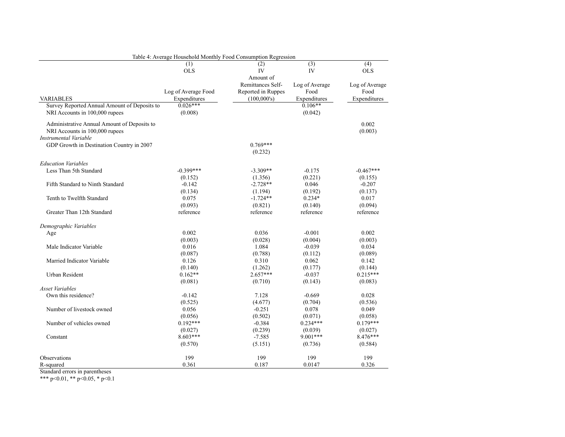|                                                                               | Table 4: Average Household Monthly Food Consumption Regression |                    |                |                  |
|-------------------------------------------------------------------------------|----------------------------------------------------------------|--------------------|----------------|------------------|
|                                                                               | (1)                                                            | (2)                | (3)            | (4)              |
|                                                                               | <b>OLS</b>                                                     | IV                 | IV             | <b>OLS</b>       |
|                                                                               |                                                                | Amount of          |                |                  |
|                                                                               |                                                                | Remittances Self-  | Log of Average | Log of Average   |
|                                                                               | Log of Average Food                                            | Reported in Ruppes | Food           | Food             |
| <b>VARIABLES</b>                                                              | Expenditures                                                   | (100,000's)        | Expenditures   | Expenditures     |
| Survey Reported Annual Amount of Deposits to                                  | $0.026***$                                                     |                    | $0.106**$      |                  |
| NRI Accounts in 100,000 rupees                                                | (0.008)                                                        |                    | (0.042)        |                  |
| Administrative Annual Amount of Deposits to<br>NRI Accounts in 100,000 rupees |                                                                |                    |                | 0.002<br>(0.003) |
| Instrumental Variable                                                         |                                                                |                    |                |                  |
| GDP Growth in Destination Country in 2007                                     |                                                                | $0.769***$         |                |                  |
|                                                                               |                                                                | (0.232)            |                |                  |
| <b>Education Variables</b>                                                    |                                                                |                    |                |                  |
| Less Than 5th Standard                                                        | $-0.399***$                                                    | $-3.309**$         | $-0.175$       | $-0.467***$      |
|                                                                               | (0.152)                                                        | (1.356)            | (0.221)        | (0.155)          |
| Fifth Standard to Ninth Standard                                              | $-0.142$                                                       | $-2.728**$         | 0.046          | $-0.207$         |
|                                                                               | (0.134)                                                        | (1.194)            | (0.192)        | (0.137)          |
| Tenth to Twelfth Standard                                                     | 0.075                                                          | $-1.724**$         | $0.234*$       | 0.017            |
|                                                                               | (0.093)                                                        | (0.821)            | (0.140)        | (0.094)          |
| Greater Than 12th Standard                                                    | reference                                                      | reference          | reference      | reference        |
| Demographic Variables                                                         |                                                                |                    |                |                  |
| Age                                                                           | 0.002                                                          | 0.036              | $-0.001$       | 0.002            |
|                                                                               | (0.003)                                                        | (0.028)            | (0.004)        | (0.003)          |
| Male Indicator Variable                                                       | 0.016                                                          | 1.084              | $-0.039$       | 0.034            |
|                                                                               | (0.087)                                                        | (0.788)            | (0.112)        | (0.089)          |
| Married Indicator Variable                                                    | 0.126                                                          | 0.310              | 0.062          | 0.142            |
|                                                                               | (0.140)                                                        | (1.262)            | (0.177)        | (0.144)          |
| Urban Resident                                                                | $0.162**$                                                      | $2.657***$         | $-0.037$       | $0.215***$       |
|                                                                               | (0.081)                                                        | (0.710)            | (0.143)        | (0.083)          |
| Asset Variables                                                               |                                                                |                    |                |                  |
| Own this residence?                                                           | $-0.142$                                                       | 7.128              | $-0.669$       | 0.028            |
|                                                                               | (0.525)                                                        | (4.677)            | (0.704)        | (0.536)          |
| Number of livestock owned                                                     | 0.056                                                          | $-0.251$           | 0.078          | 0.049            |
|                                                                               |                                                                |                    |                |                  |
|                                                                               | (0.056)                                                        | (0.502)            | (0.071)        | (0.058)          |
| Number of vehicles owned                                                      | $0.192***$                                                     | $-0.384$           | $0.234***$     | $0.179***$       |
|                                                                               | (0.027)                                                        | (0.239)            | (0.039)        | (0.027)          |
| Constant                                                                      | $8.603***$                                                     | $-7.585$           | 9.001***       | 8.476***         |
|                                                                               | (0.570)                                                        | (5.151)            | (0.736)        | (0.584)          |
| Observations                                                                  | 199                                                            | 199                | 199            | 199              |
| R-squared                                                                     | 0.361                                                          | 0.187              | 0.0147         | 0.326            |
| Standard errors in parentheses                                                |                                                                |                    |                |                  |

\*\*\*  $p<0.01$ , \*\*  $p<0.05$ , \*  $p<0.1$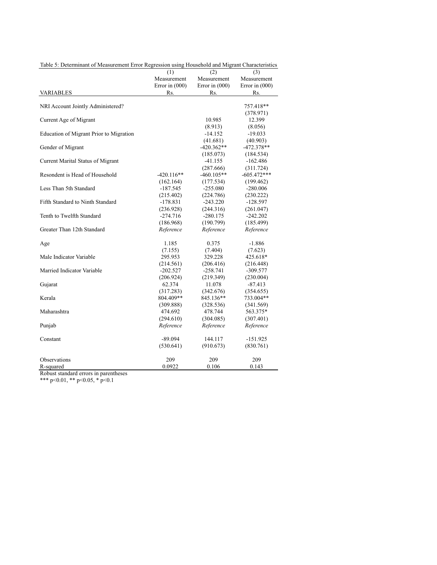| Table 5: Determinant of Measurement Error Regression using Household and Migrant Characteristics |                  |                  |                  |
|--------------------------------------------------------------------------------------------------|------------------|------------------|------------------|
|                                                                                                  | (1)              | (2)              | (3)              |
|                                                                                                  | Measurement      | Measurement      | Measurement      |
|                                                                                                  | Error in $(000)$ | Error in $(000)$ | Error in $(000)$ |
| VARIABLES                                                                                        | Rs.              | Rs.              | Rs.              |
|                                                                                                  |                  |                  |                  |
| NRI Account Jointly Administered?                                                                |                  |                  | 757.418**        |
|                                                                                                  |                  |                  | (378.971)        |
| Current Age of Migrant                                                                           |                  | 10.985           | 12.399           |
|                                                                                                  |                  | (8.913)          | (8.056)          |
| Education of Migrant Prior to Migration                                                          |                  | $-14.152$        | $-19.033$        |
|                                                                                                  |                  | (41.681)         | (40.903)         |
| Gender of Migrant                                                                                |                  | $-420.362**$     | $-472.378**$     |
|                                                                                                  |                  | (185.073)        | (184.534)        |
| Current Marital Status of Migrant                                                                |                  | $-41.155$        | $-162.486$       |
|                                                                                                  |                  | (287.666)        | (311.724)        |
| Resondent is Head of Household                                                                   | $-420.116**$     | $-460.105**$     | $-605.472***$    |
|                                                                                                  | (162.164)        | (177.534)        | (199.462)        |
| Less Than 5th Standard                                                                           | $-187.545$       | $-255.080$       | $-280.006$       |
|                                                                                                  | (215.402)        | (224.786)        | (230.222)        |
| Fifth Standard to Ninth Standard                                                                 | $-178.831$       | $-243.220$       | $-128.597$       |
|                                                                                                  | (236.928)        | (244.316)        | (261.047)        |
| Tenth to Twelfth Standard                                                                        | $-274.716$       | $-280.175$       | $-242.202$       |
|                                                                                                  | (186.968)        | (190.799)        | (185.499)        |
| Greater Than 12th Standard                                                                       | Reference        | Reference        | Reference        |
|                                                                                                  |                  |                  |                  |
| Age                                                                                              | 1.185            | 0.375            | $-1.886$         |
|                                                                                                  | (7.155)          | (7.404)          | (7.623)          |
| Male Indicator Variable                                                                          | 295.953          | 329.228          | 425.618*         |
|                                                                                                  | (214.561)        | (206.416)        | (216.448)        |
| Married Indicator Variable                                                                       | $-202.527$       | $-258.741$       | $-309.577$       |
|                                                                                                  | (206.924)        | (219.349)        | (230.004)        |
| Gujarat                                                                                          | 62.374           | 11.078           | $-87.413$        |
|                                                                                                  | (317.283)        | (342.676)        | (354.655)        |
| Kerala                                                                                           | 804.409**        | 845.136**        | 733.004**        |
|                                                                                                  | (309.888)        | (328.536)        | (341.569)        |
| Maharashtra                                                                                      | 474.692          | 478.744          | 563.375*         |
|                                                                                                  | (294.610)        | (304.085)        | (307.401)        |
| Punjab                                                                                           | Reference        | Reference        | Reference        |
|                                                                                                  |                  |                  |                  |
| Constant                                                                                         | $-89.094$        | 144.117          | $-151.925$       |
|                                                                                                  | (530.641)        | (910.673)        | (830.761)        |
|                                                                                                  |                  |                  |                  |
| Observations                                                                                     | 209              | 209              | 209              |
| R-squared                                                                                        | 0.0922           | 0.106            | 0.143            |

Robust standard errors in parentheses

\*\*\* p<0.01, \*\* p<0.05, \* p<0.1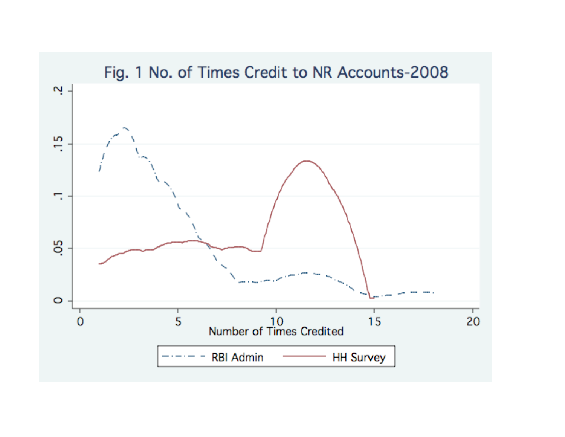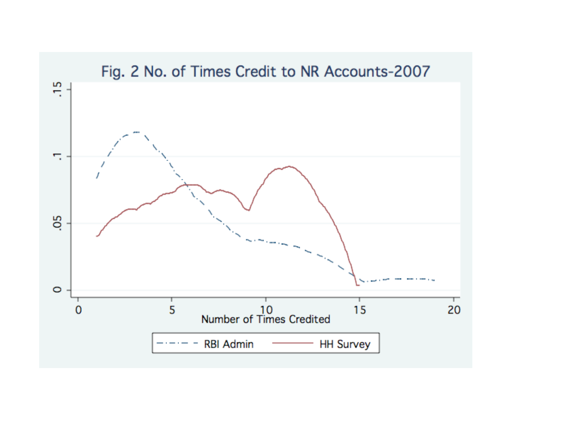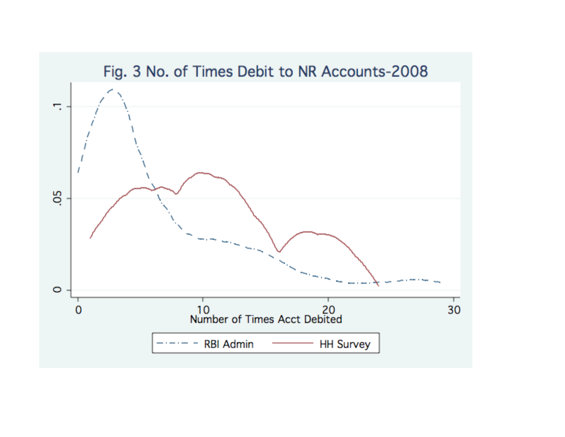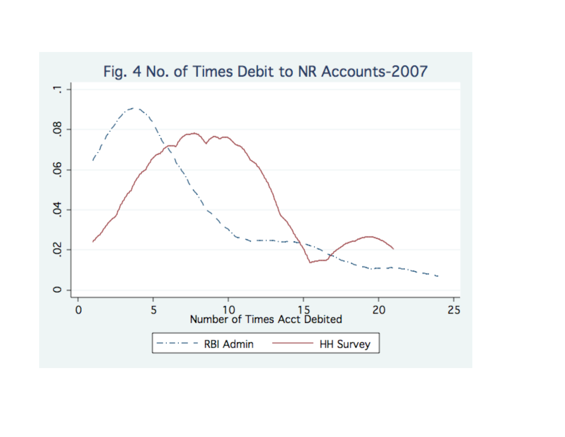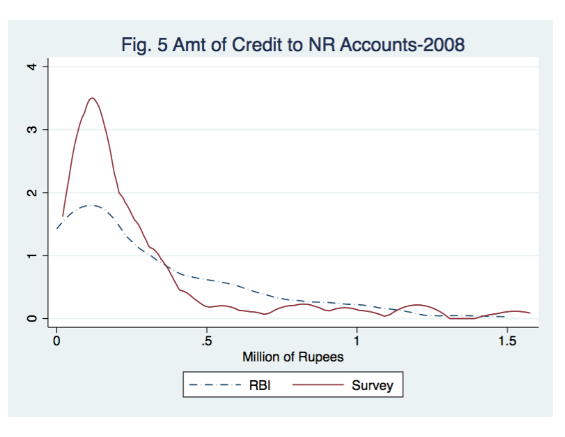## Fig. 5 Amt of Credit to NR Accounts-2008

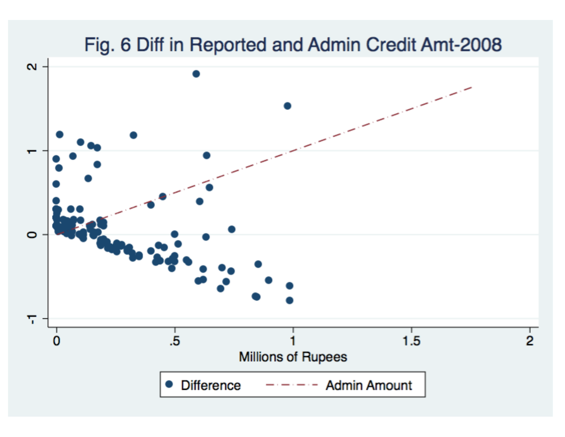## Fig. 6 Diff in Reported and Admin Credit Amt-2008